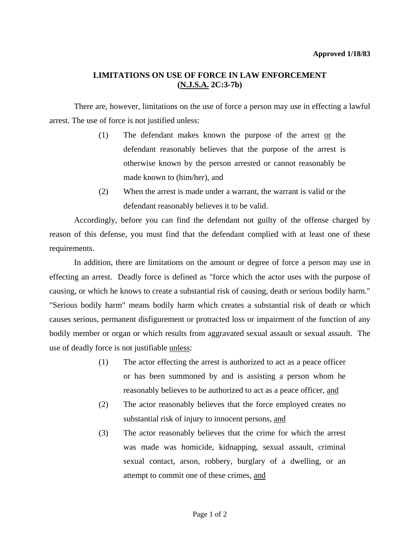## **LIMITATIONS ON USE OF FORCE IN LAW ENFORCEMENT (N.J.S.A. 2C:3-7b)**

 There are, however, limitations on the use of force a person may use in effecting a lawful arrest. The use of force is not justified unless:

- (1) The defendant makes known the purpose of the arrest or the defendant reasonably believes that the purpose of the arrest is otherwise known by the person arrested or cannot reasonably be made known to (him/her), and
- (2) When the arrest is made under a warrant, the warrant is valid or the defendant reasonably believes it to be valid.

 Accordingly, before you can find the defendant not guilty of the offense charged by reason of this defense, you must find that the defendant complied with at least one of these requirements.

 In addition, there are limitations on the amount or degree of force a person may use in effecting an arrest. Deadly force is defined as "force which the actor uses with the purpose of causing, or which he knows to create a substantial risk of causing, death or serious bodily harm." "Serious bodily harm" means bodily harm which creates a substantial risk of death or which causes serious, permanent disfigurement or protracted loss or impairment of the function of any bodily member or organ or which results from aggravated sexual assault or sexual assault. The use of deadly force is not justifiable unless:

- (1) The actor effecting the arrest is authorized to act as a peace officer or has been summoned by and is assisting a person whom he reasonably believes to be authorized to act as a peace officer, and
- (2) The actor reasonably believes that the force employed creates no substantial risk of injury to innocent persons, and
- (3) The actor reasonably believes that the crime for which the arrest was made was homicide, kidnapping, sexual assault, criminal sexual contact, arson, robbery, burglary of a dwelling, or an attempt to commit one of these crimes, and